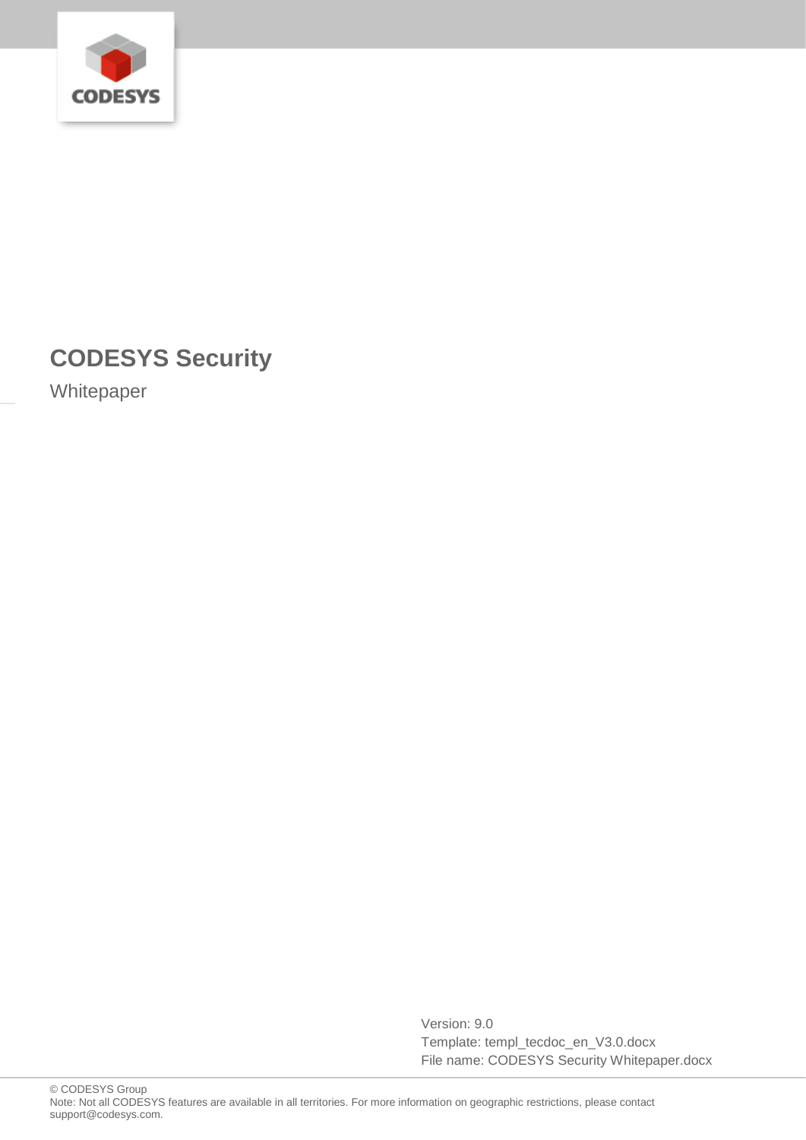

# **CODESYS Security**

Whitepaper

Version: 9.0 Template: templ\_tecdoc\_en\_V3.0.docx File name: CODESYS Security Whitepaper.docx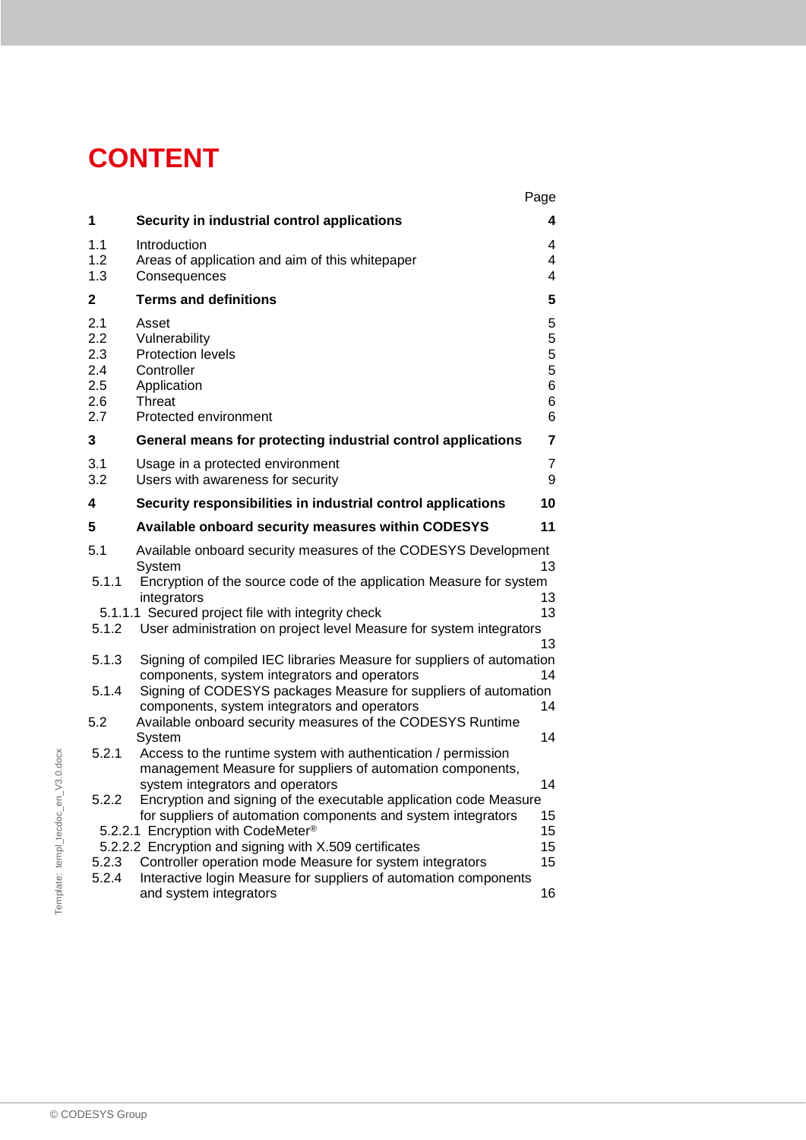# **CONTENT**

|                           |                                               |                                                                                                                                                                                          | Page                            |
|---------------------------|-----------------------------------------------|------------------------------------------------------------------------------------------------------------------------------------------------------------------------------------------|---------------------------------|
|                           | 1                                             | Security in industrial control applications                                                                                                                                              | 4                               |
|                           | 1.1<br>1.2<br>1.3                             | Introduction<br>Areas of application and aim of this whitepaper<br>Consequences                                                                                                          | 4<br>4<br>4                     |
|                           | $\mathbf{2}$                                  | <b>Terms and definitions</b>                                                                                                                                                             | 5                               |
|                           | 2.1<br>2.2<br>2.3<br>2.4<br>2.5<br>2.6<br>2.7 | Asset<br>Vulnerability<br>Protection levels<br>Controller<br>Application<br>Threat<br>Protected environment                                                                              | 5<br>5<br>5<br>5<br>6<br>6<br>6 |
|                           | 3                                             | General means for protecting industrial control applications                                                                                                                             | 7                               |
|                           | 3.1<br>3.2                                    | Usage in a protected environment<br>Users with awareness for security                                                                                                                    | 7<br>9                          |
|                           | 4                                             | Security responsibilities in industrial control applications                                                                                                                             | 10                              |
|                           | 5                                             | Available onboard security measures within CODESYS                                                                                                                                       | 11                              |
|                           | 5.1                                           | Available onboard security measures of the CODESYS Development<br>System                                                                                                                 | 13                              |
|                           | 5.1.1                                         | Encryption of the source code of the application Measure for system<br>integrators<br>5.1.1.1 Secured project file with integrity check                                                  | 13<br>13                        |
|                           | 5.1.2                                         | User administration on project level Measure for system integrators                                                                                                                      | 13                              |
|                           | 5.1.3<br>5.1.4                                | Signing of compiled IEC libraries Measure for suppliers of automation<br>components, system integrators and operators<br>Signing of CODESYS packages Measure for suppliers of automation | 14                              |
|                           | 5.2                                           | components, system integrators and operators<br>Available onboard security measures of the CODESYS Runtime<br>System                                                                     | 14<br>14                        |
| $V3.0.\text{doc}$         | 5.2.1                                         | Access to the runtime system with authentication / permission<br>management Measure for suppliers of automation components,                                                              | 14                              |
|                           | 5.2.2                                         | system integrators and operators<br>Encryption and signing of the executable application code Measure<br>for suppliers of automation components and system integrators                   | 15                              |
|                           |                                               | 5.2.2.1 Encryption with CodeMeter®<br>5.2.2.2 Encryption and signing with X.509 certificates                                                                                             | 15<br>15                        |
|                           | 5.2.3                                         | Controller operation mode Measure for system integrators                                                                                                                                 | 15                              |
| Template: templ_tecdoc_en | 5.2.4                                         | Interactive login Measure for suppliers of automation components<br>and system integrators                                                                                               | 16                              |
|                           |                                               |                                                                                                                                                                                          |                                 |
|                           |                                               |                                                                                                                                                                                          |                                 |
|                           | © CODESYS Group                               |                                                                                                                                                                                          |                                 |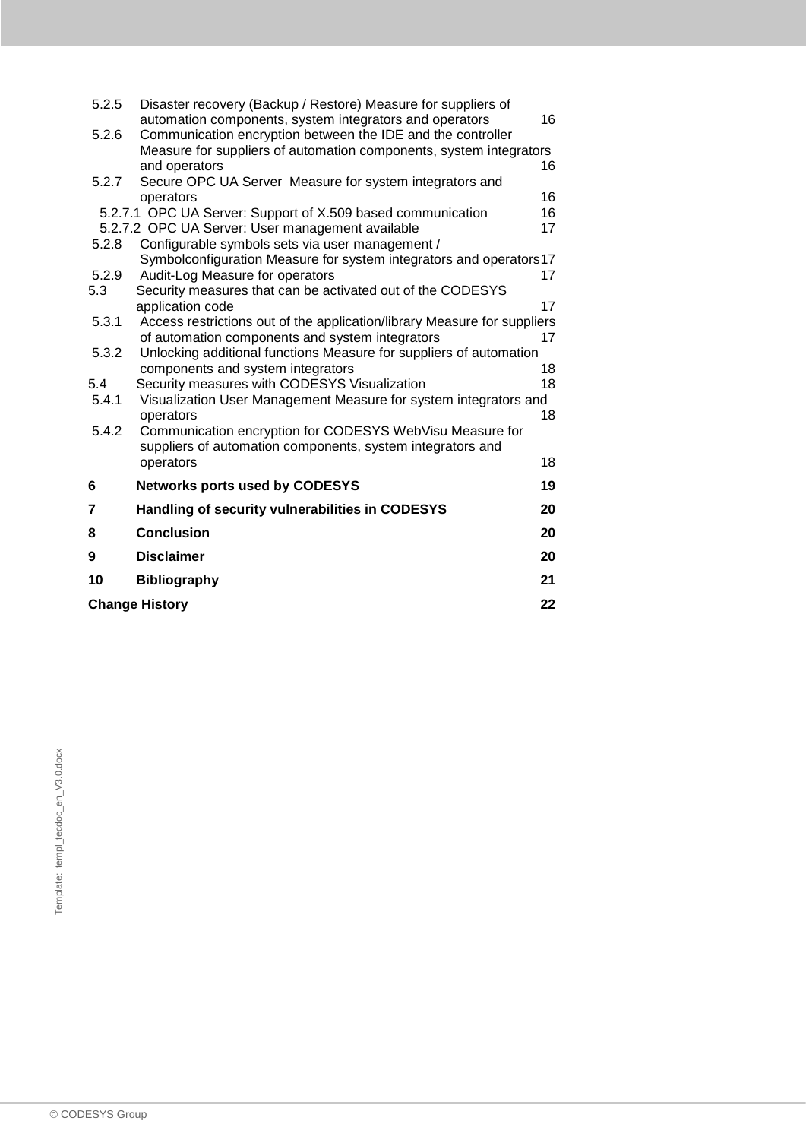| 5.2.5 | Disaster recovery (Backup / Restore) Measure for suppliers of<br>automation components, system integrators and operators | 16       |
|-------|--------------------------------------------------------------------------------------------------------------------------|----------|
| 5.2.6 | Communication encryption between the IDE and the controller                                                              |          |
|       | Measure for suppliers of automation components, system integrators                                                       |          |
|       | and operators                                                                                                            | 16       |
| 5.2.7 | Secure OPC UA Server Measure for system integrators and                                                                  |          |
|       | operators<br>5.2.7.1 OPC UA Server: Support of X.509 based communication                                                 | 16<br>16 |
|       | 5.2.7.2 OPC UA Server: User management available                                                                         | 17       |
| 5.2.8 | Configurable symbols sets via user management /                                                                          |          |
|       | Symbolconfiguration Measure for system integrators and operators17                                                       |          |
| 5.2.9 | Audit-Log Measure for operators                                                                                          | 17       |
| 5.3   | Security measures that can be activated out of the CODESYS                                                               |          |
|       | application code                                                                                                         | 17       |
| 5.3.1 | Access restrictions out of the application/library Measure for suppliers                                                 |          |
|       | of automation components and system integrators                                                                          | 17       |
| 5.3.2 | Unlocking additional functions Measure for suppliers of automation<br>components and system integrators                  | 18       |
| 5.4   | Security measures with CODESYS Visualization                                                                             | 18       |
| 5.4.1 | Visualization User Management Measure for system integrators and                                                         |          |
|       | operators                                                                                                                | 18       |
| 5.4.2 | Communication encryption for CODESYS WebVisu Measure for                                                                 |          |
|       | suppliers of automation components, system integrators and                                                               |          |
|       | operators                                                                                                                | 18       |
| 6     | <b>Networks ports used by CODESYS</b>                                                                                    | 19       |
| 7     | Handling of security vulnerabilities in CODESYS                                                                          | 20       |
| 8     | <b>Conclusion</b>                                                                                                        | 20       |
| 9     | <b>Disclaimer</b>                                                                                                        | 20       |
| 10    | <b>Bibliography</b>                                                                                                      | 21       |
|       | <b>Change History</b>                                                                                                    | 22       |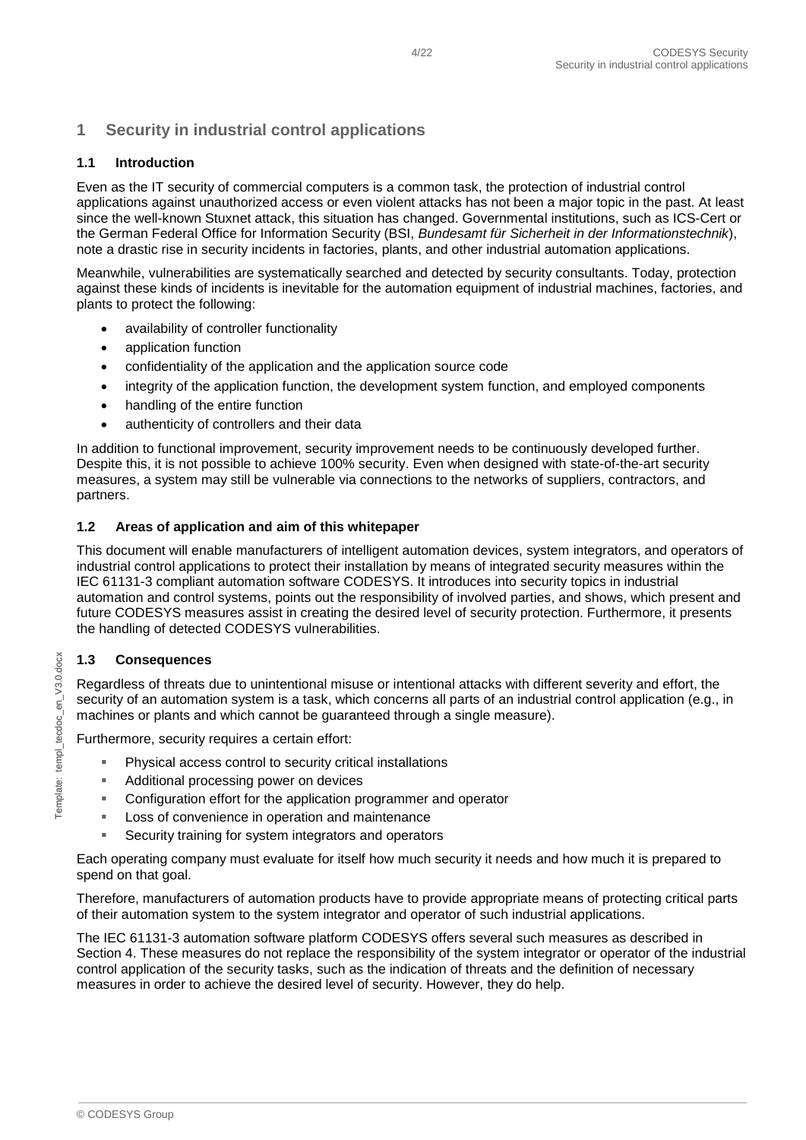# <span id="page-3-0"></span>**1 Security in industrial control applications**

#### <span id="page-3-1"></span>**1.1 Introduction**

Even as the IT security of commercial computers is a common task, the protection of industrial control applications against unauthorized access or even violent attacks has not been a major topic in the past. At least since the well-known Stuxnet attack, this situation has changed. Governmental institutions, such as ICS-Cert or the German Federal Office for Information Security (BSI, *Bundesamt für Sicherheit in der Informationstechnik*), note a drastic rise in security incidents in factories, plants, and other industrial automation applications.

Meanwhile, vulnerabilities are systematically searched and detected by security consultants. Today, protection against these kinds of incidents is inevitable for the automation equipment of industrial machines, factories, and plants to protect the following:

- availability of controller functionality
- application function
- confidentiality of the application and the application source code
- integrity of the application function, the development system function, and employed components
- handling of the entire function
- authenticity of controllers and their data

In addition to functional improvement, security improvement needs to be continuously developed further. Despite this, it is not possible to achieve 100% security. Even when designed with state-of-the-art security measures, a system may still be vulnerable via connections to the networks of suppliers, contractors, and partners.

#### <span id="page-3-2"></span>**1.2 Areas of application and aim of this whitepaper**

This document will enable manufacturers of intelligent automation devices, system integrators, and operators of industrial control applications to protect their installation by means of integrated security measures within the IEC 61131-3 compliant automation software CODESYS. It introduces into security topics in industrial automation and control systems, points out the responsibility of involved parties, and shows, which present and future CODESYS measures assist in creating the desired level of security protection. Furthermore, it presents the handling of detected CODESYS vulnerabilities.

#### <span id="page-3-3"></span>**1.3 Consequences**

Regardless of threats due to unintentional misuse or intentional attacks with different severity and effort, the security of an automation system is a task, which concerns all parts of an industrial control application (e.g., in machines or plants and which cannot be guaranteed through a single measure).

Furthermore, security requires a certain effort:

- Physical access control to security critical installations
- **Additional processing power on devices**
- Configuration effort for the application programmer and operator
- **Loss of convenience in operation and maintenance**
- Security training for system integrators and operators

Each operating company must evaluate for itself how much security it needs and how much it is prepared to spend on that goal.

Therefore, manufacturers of automation products have to provide appropriate means of protecting critical parts of their automation system to the system integrator and operator of such industrial applications.

The IEC 61131-3 automation software platform CODESYS offers several such measures as described in Section 4. These measures do not replace the responsibility of the system integrator or operator of the industrial control application of the security tasks, such as the indication of threats and the definition of necessary measures in order to achieve the desired level of security. However, they do help.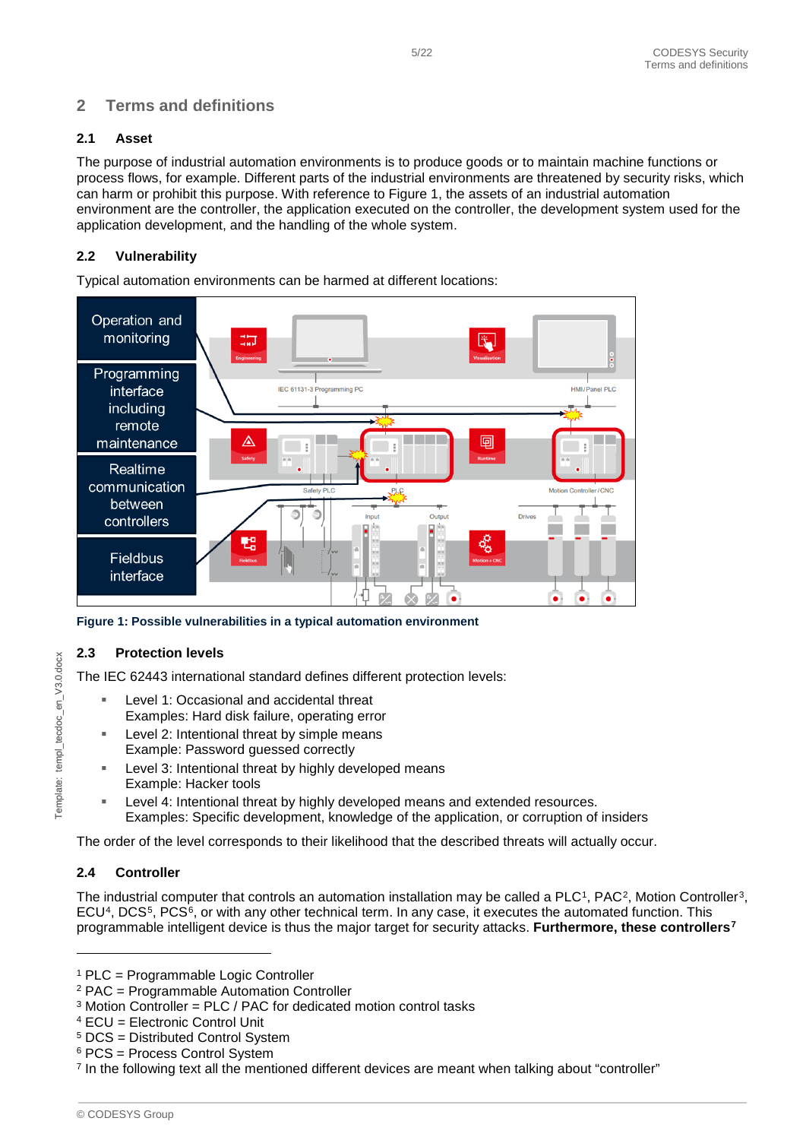# <span id="page-4-0"></span>**2 Terms and definitions**

#### <span id="page-4-1"></span>**2.1 Asset**

The purpose of industrial automation environments is to produce goods or to maintain machine functions or process flows, for example. Different parts of the industrial environments are threatened by security risks, which can harm or prohibit this purpose. With reference to [Figure 1,](#page-4-5) the assets of an industrial automation environment are the controller, the application executed on the controller, the development system used for the application development, and the handling of the whole system.

#### <span id="page-4-2"></span>**2.2 Vulnerability**

Typical automation environments can be harmed at different locations:



<span id="page-4-5"></span>**Figure 1: Possible vulnerabilities in a typical automation environment**

#### <span id="page-4-3"></span>**2.3 Protection levels**

The IEC 62443 international standard defines different protection levels:

- Level 1: Occasional and accidental threat Examples: Hard disk failure, operating error
- Level 2: Intentional threat by simple means Example: Password guessed correctly
- Level 3: Intentional threat by highly developed means Example: Hacker tools
- Level 4: Intentional threat by highly developed means and extended resources. Examples: Specific development, knowledge of the application, or corruption of insiders

The order of the level corresponds to their likelihood that the described threats will actually occur.

#### <span id="page-4-4"></span>**2.4 Controller**

The industrial computer that controls an automation installation may be called a PLC<sup>1</sup>, PAC<sup>2</sup>, Motion Controller<sup>3</sup>,  $ECU<sup>4</sup>$ , DCS<sup>5</sup>, PCS<sup>6</sup>, or with any other technical term. In any case, it executes the automated function. This programmable intelligent device is thus the major target for security attacks. **Furthermore, these controllers[7](#page-4-12)**

-

<span id="page-4-6"></span><sup>1</sup> PLC = Programmable Logic Controller

<span id="page-4-7"></span><sup>2</sup> PAC = Programmable Automation Controller

<span id="page-4-8"></span><sup>&</sup>lt;sup>3</sup> Motion Controller = PLC / PAC for dedicated motion control tasks

<sup>4</sup> ECU = Electronic Control Unit

<span id="page-4-10"></span><span id="page-4-9"></span><sup>5</sup> DCS = Distributed Control System

<span id="page-4-11"></span><sup>6</sup> PCS = Process Control System

<span id="page-4-12"></span><sup>7</sup> In the following text all the mentioned different devices are meant when talking about "controller"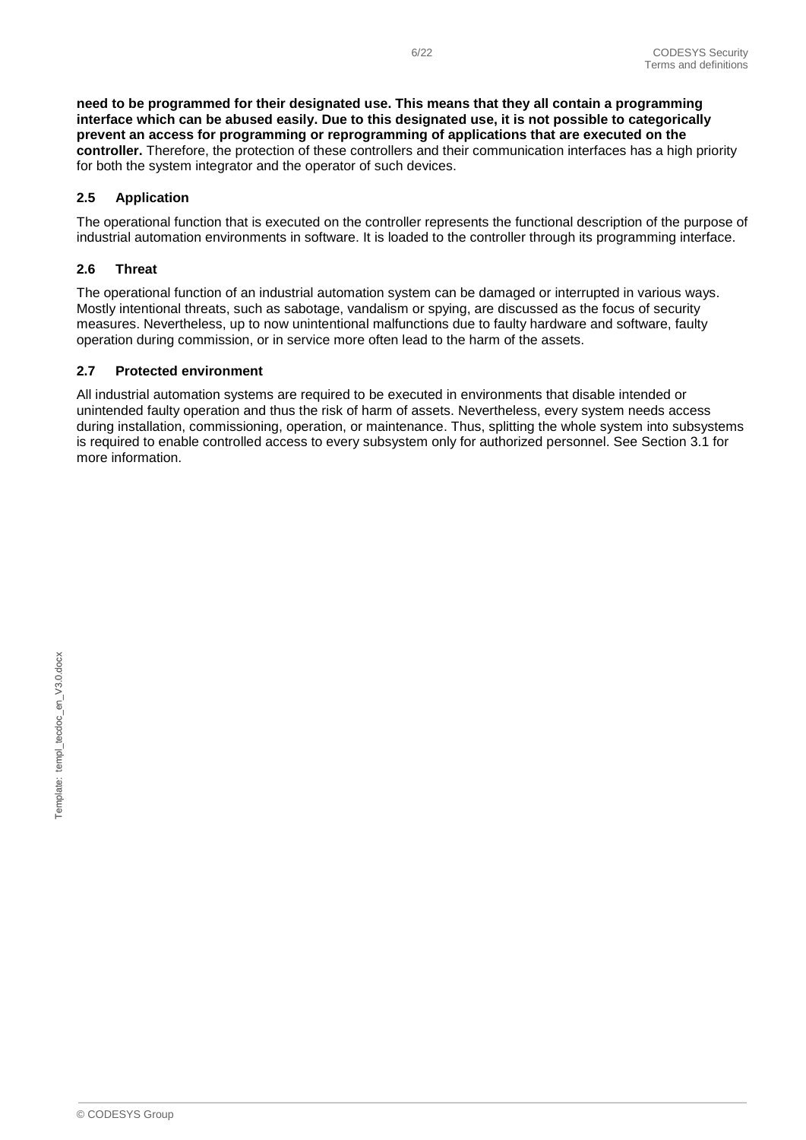**need to be programmed for their designated use. This means that they all contain a programming interface which can be abused easily. Due to this designated use, it is not possible to categorically prevent an access for programming or reprogramming of applications that are executed on the controller.** Therefore, the protection of these controllers and their communication interfaces has a high priority for both the system integrator and the operator of such devices.

#### <span id="page-5-0"></span>**2.5 Application**

The operational function that is executed on the controller represents the functional description of the purpose of industrial automation environments in software. It is loaded to the controller through its programming interface.

#### <span id="page-5-1"></span>**2.6 Threat**

The operational function of an industrial automation system can be damaged or interrupted in various ways. Mostly intentional threats, such as sabotage, vandalism or spying, are discussed as the focus of security measures. Nevertheless, up to now unintentional malfunctions due to faulty hardware and software, faulty operation during commission, or in service more often lead to the harm of the assets.

#### <span id="page-5-2"></span>**2.7 Protected environment**

All industrial automation systems are required to be executed in environments that disable intended or unintended faulty operation and thus the risk of harm of assets. Nevertheless, every system needs access during installation, commissioning, operation, or maintenance. Thus, splitting the whole system into subsystems is required to enable controlled access to every subsystem only for authorized personnel. See Section [3.1](#page-6-1) for more information.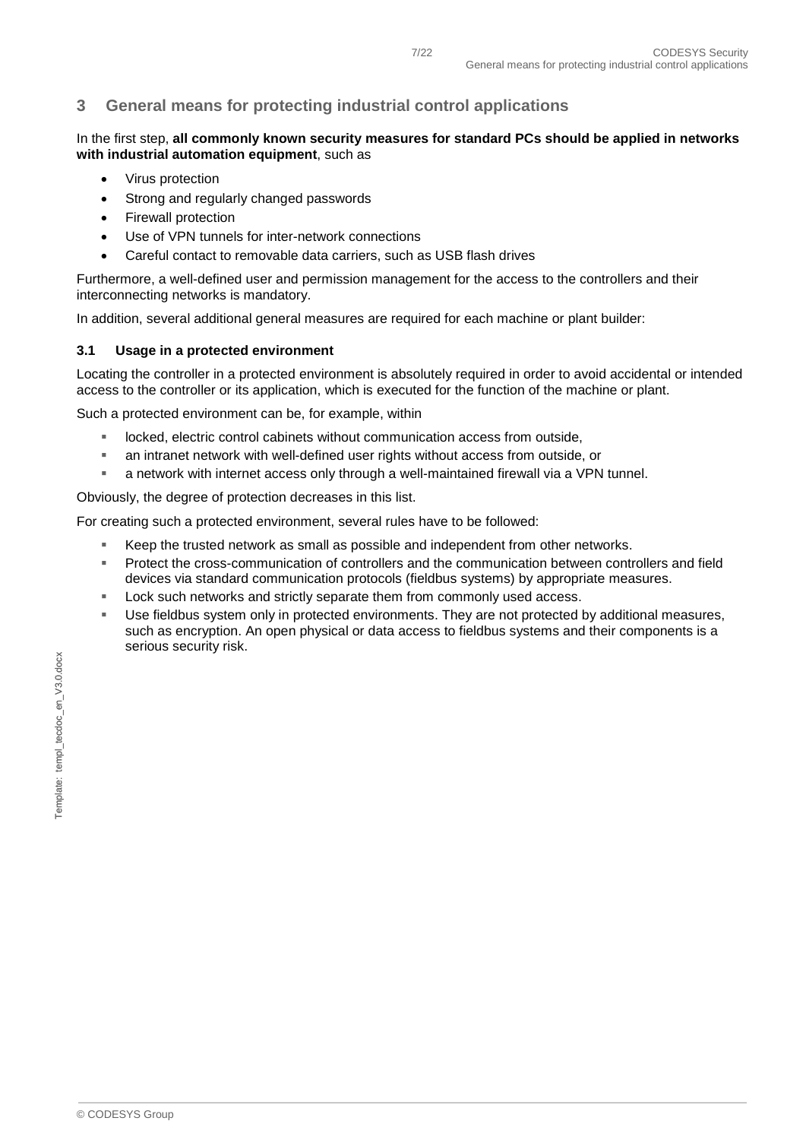# <span id="page-6-0"></span>**3 General means for protecting industrial control applications**

#### In the first step, **all commonly known security measures for standard PCs should be applied in networks with industrial automation equipment**, such as

- Virus protection
- Strong and regularly changed passwords
- Firewall protection
- Use of VPN tunnels for inter-network connections
- Careful contact to removable data carriers, such as USB flash drives

Furthermore, a well-defined user and permission management for the access to the controllers and their interconnecting networks is mandatory.

In addition, several additional general measures are required for each machine or plant builder:

#### <span id="page-6-1"></span>**3.1 Usage in a protected environment**

Locating the controller in a protected environment is absolutely required in order to avoid accidental or intended access to the controller or its application, which is executed for the function of the machine or plant.

Such a protected environment can be, for example, within

- **IDOCKED, electric control cabinets without communication access from outside,**
- an intranet network with well-defined user rights without access from outside, or
- a network with internet access only through a well-maintained firewall via a VPN tunnel.

Obviously, the degree of protection decreases in this list.

For creating such a protected environment, several rules have to be followed:

- Keep the trusted network as small as possible and independent from other networks.
- Protect the cross-communication of controllers and the communication between controllers and field devices via standard communication protocols (fieldbus systems) by appropriate measures.
- Lock such networks and strictly separate them from commonly used access.
- Use fieldbus system only in protected environments. They are not protected by additional measures, such as encryption. An open physical or data access to fieldbus systems and their components is a serious security risk.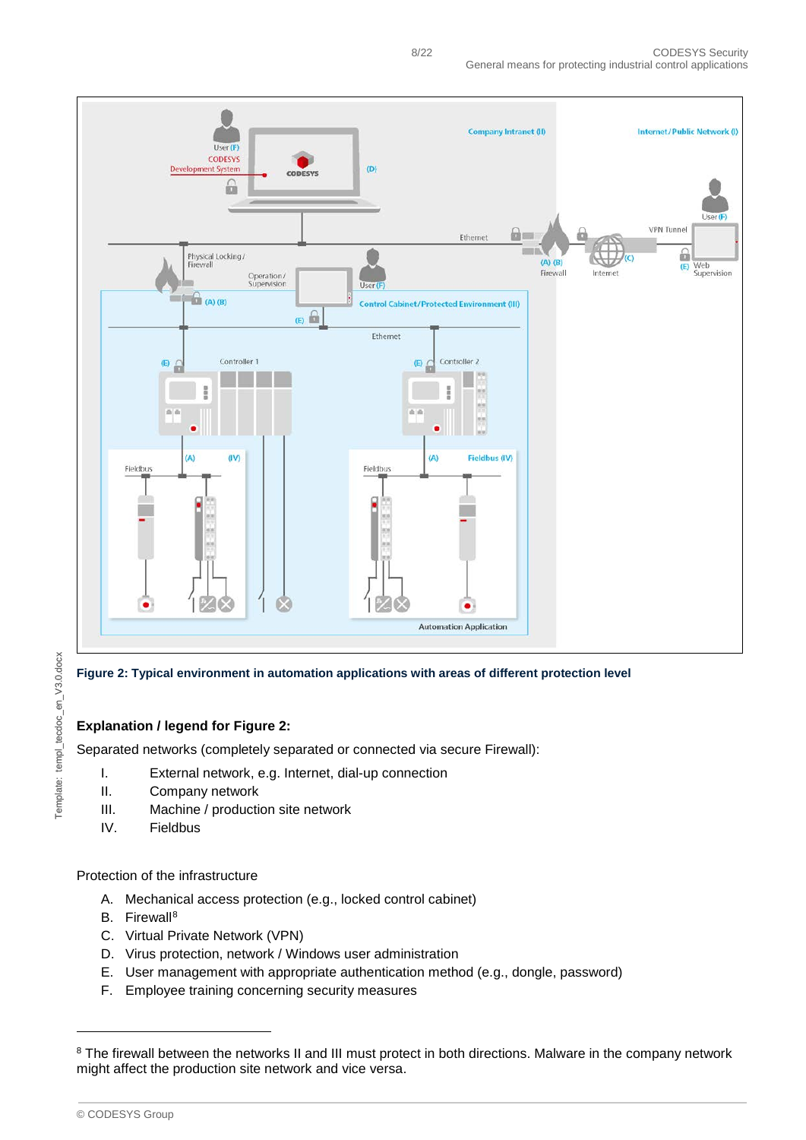

Template: templ\_tecdoc\_en\_V3.0.docx Template: templ\_tecdoc\_en\_V3.0.docx

<span id="page-7-0"></span>**Figure 2: Typical environment in automation applications with areas of different protection level**

#### **Explanation / legend for [Figure 2:](#page-7-0)**

Separated networks (completely separated or connected via secure Firewall):

- I. External network, e.g. Internet, dial-up connection
- II. Company network
- III. Machine / production site network
- IV. Fieldbus

Protection of the infrastructure

- A. Mechanical access protection (e.g., locked control cabinet)
- B. Firewall<sup>[8](#page-7-1)</sup>
- C. Virtual Private Network (VPN)
- D. Virus protection, network / Windows user administration
- E. User management with appropriate authentication method (e.g., dongle, password)
- F. Employee training concerning security measures

-

<span id="page-7-1"></span><sup>&</sup>lt;sup>8</sup> The firewall between the networks II and III must protect in both directions. Malware in the company network might affect the production site network and vice versa.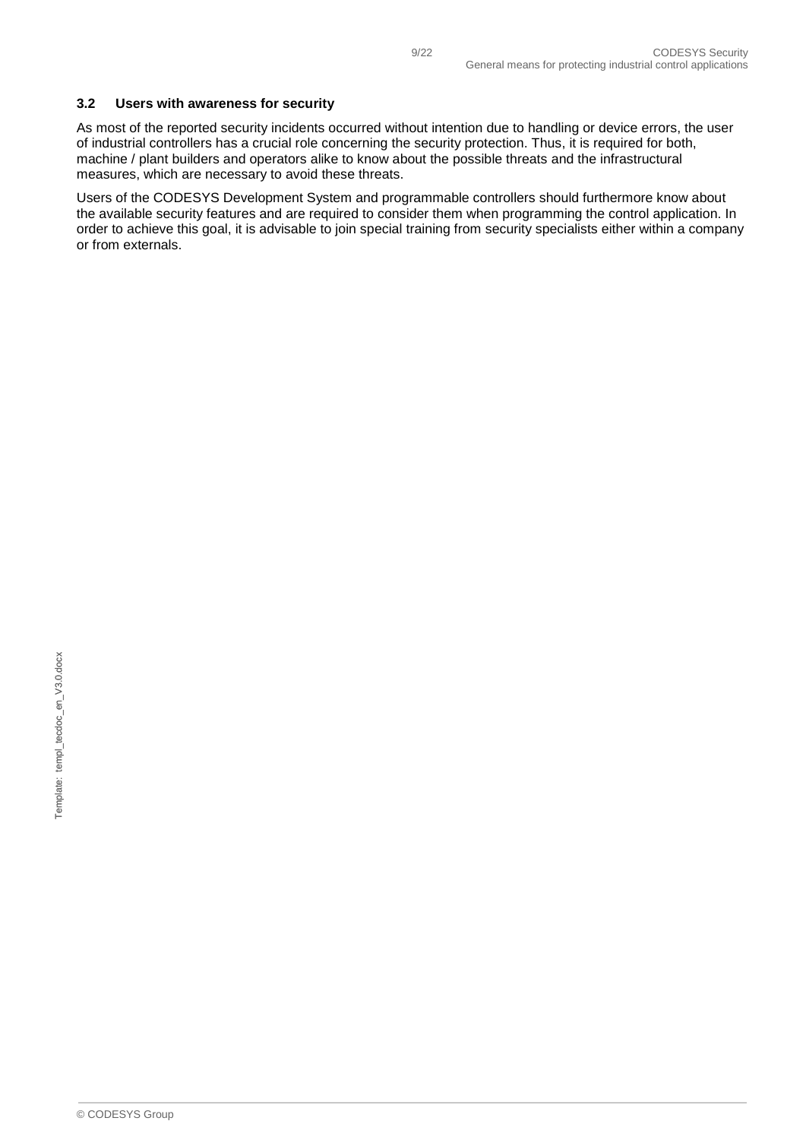#### <span id="page-8-0"></span>**3.2 Users with awareness for security**

As most of the reported security incidents occurred without intention due to handling or device errors, the user of industrial controllers has a crucial role concerning the security protection. Thus, it is required for both, machine / plant builders and operators alike to know about the possible threats and the infrastructural measures, which are necessary to avoid these threats.

Users of the CODESYS Development System and programmable controllers should furthermore know about the available security features and are required to consider them when programming the control application. In order to achieve this goal, it is advisable to join special training from security specialists either within a company or from externals.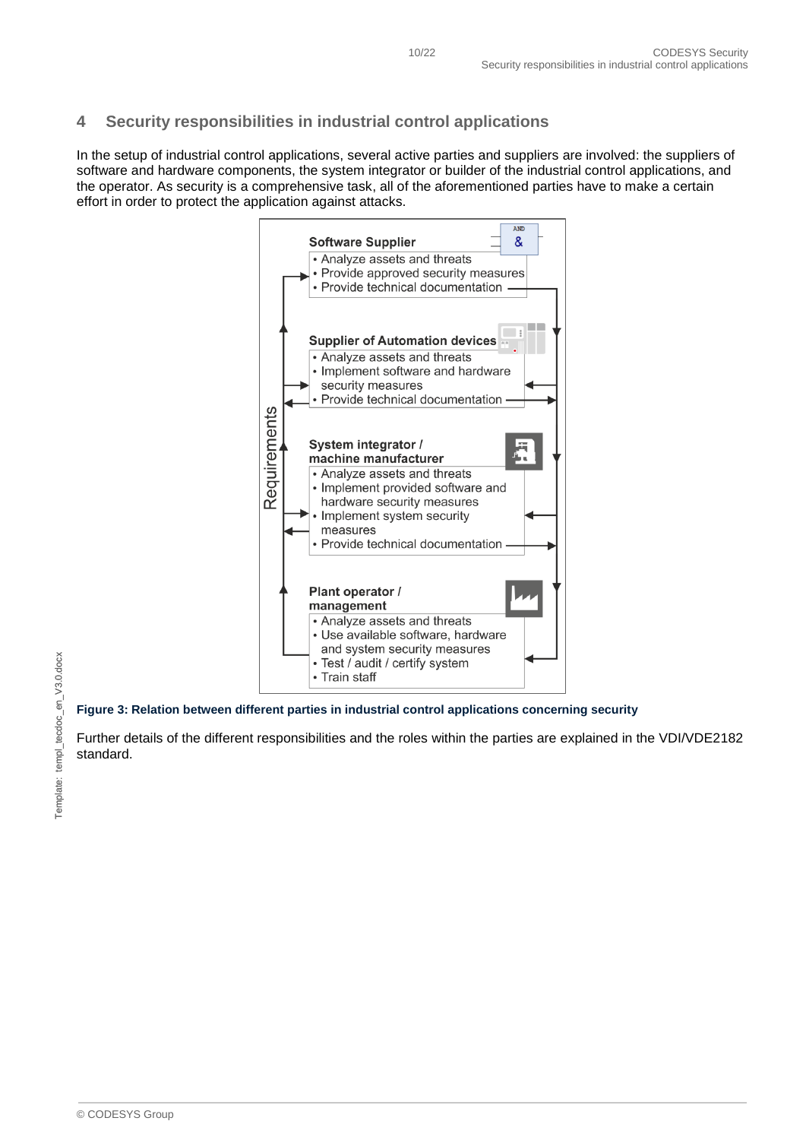# <span id="page-9-0"></span>**4 Security responsibilities in industrial control applications**

In the setup of industrial control applications, several active parties and suppliers are involved: the suppliers of software and hardware components, the system integrator or builder of the industrial control applications, and the operator. As security is a comprehensive task, all of the aforementioned parties have to make a certain effort in order to protect the application against attacks.



**Figure 3: Relation between different parties in industrial control applications concerning security**

Further details of the different responsibilities and the roles within the parties are explained in the VDI/VDE2182 standard.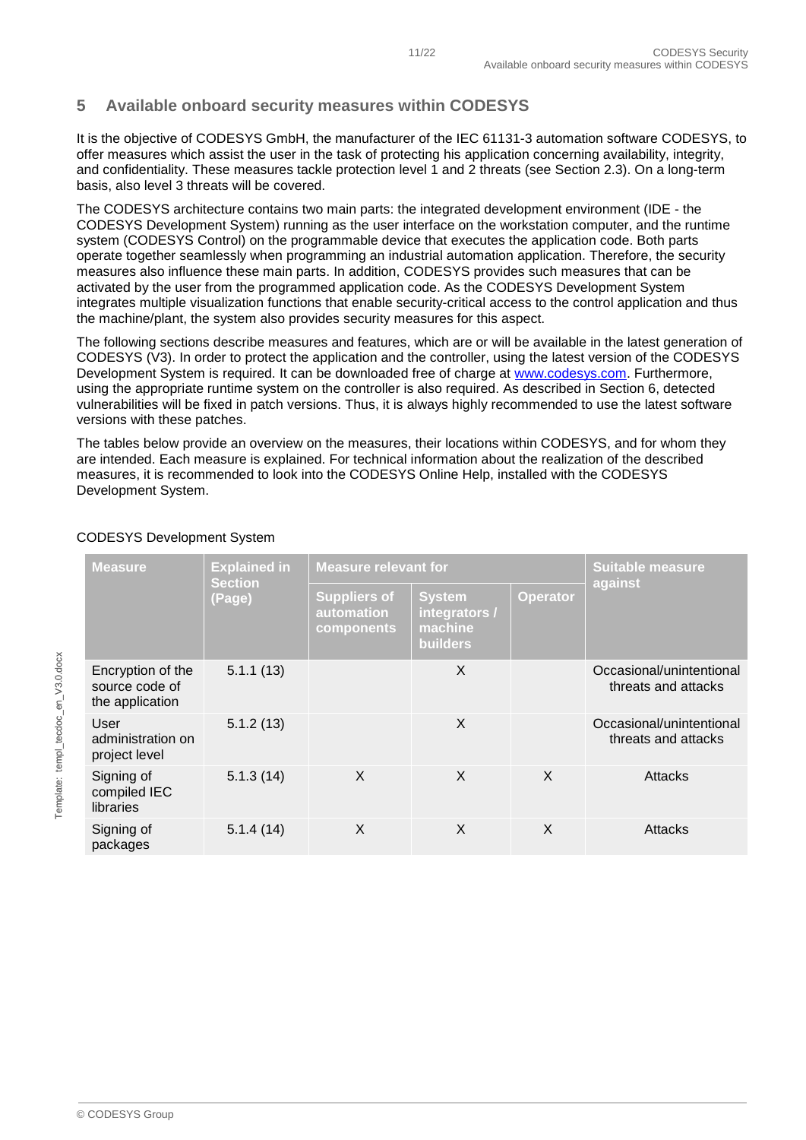# <span id="page-10-0"></span>**5 Available onboard security measures within CODESYS**

It is the objective of CODESYS GmbH, the manufacturer of the IEC 61131-3 automation software CODESYS, to offer measures which assist the user in the task of protecting his application concerning availability, integrity, and confidentiality. These measures tackle protection level 1 and 2 threats (see Section [2.3\)](#page-4-3). On a long-term basis, also level 3 threats will be covered.

The CODESYS architecture contains two main parts: the integrated development environment (IDE - the CODESYS Development System) running as the user interface on the workstation computer, and the runtime system (CODESYS Control) on the programmable device that executes the application code. Both parts operate together seamlessly when programming an industrial automation application. Therefore, the security measures also influence these main parts. In addition, CODESYS provides such measures that can be activated by the user from the programmed application code. As the CODESYS Development System integrates multiple visualization functions that enable security-critical access to the control application and thus the machine/plant, the system also provides security measures for this aspect.

The following sections describe measures and features, which are or will be available in the latest generation of CODESYS (V3). In order to protect the application and the controller, using the latest version of the CODESYS Development System is required. It can be downloaded free of charge at [www.codesys.com.](http://www.codesys.com/) Furthermore, using the appropriate runtime system on the controller is also required. As described in Section [6,](#page-18-0) detected vulnerabilities will be fixed in patch versions. Thus, it is always highly recommended to use the latest software versions with these patches.

The tables below provide an overview on the measures, their locations within CODESYS, and for whom they are intended. Each measure is explained. For technical information about the realization of the described measures, it is recommended to look into the CODESYS Online Help, installed with the CODESYS Development System.

| <b>Measure</b>                                         | <b>Explained in</b><br><b>Section</b><br>(Page) | <b>Measure relevant for</b>                     |                                                       |                 | <b>Suitable measure</b>                         |
|--------------------------------------------------------|-------------------------------------------------|-------------------------------------------------|-------------------------------------------------------|-----------------|-------------------------------------------------|
|                                                        |                                                 | <b>Suppliers of</b><br>automation<br>components | <b>System</b><br>integrators /<br>machine<br>builders | <b>Operator</b> | against                                         |
| Encryption of the<br>source code of<br>the application | 5.1.1(13)                                       |                                                 | X                                                     |                 | Occasional/unintentional<br>threats and attacks |
| User<br>administration on<br>project level             | 5.1.2(13)                                       |                                                 | X                                                     |                 | Occasional/unintentional<br>threats and attacks |
| Signing of<br>compiled IEC<br>libraries                | 5.1.3(14)                                       | X                                               | X                                                     | X               | <b>Attacks</b>                                  |
| Signing of<br>packages                                 | 5.1.4(14)                                       | X                                               | X                                                     | X               | Attacks                                         |

#### CODESYS Development System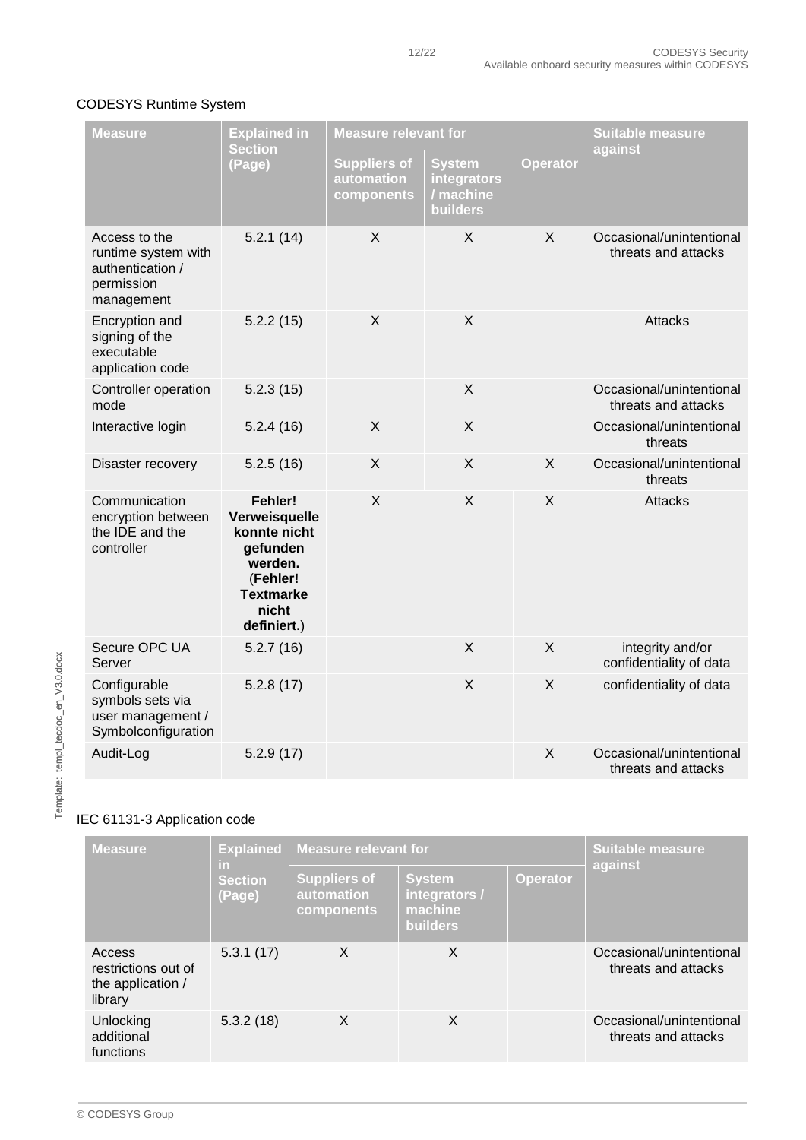#### CODESYS Runtime System

| <b>Measure</b>                                                                       | <b>Explained in</b>                                                                                                     | <b>Measure relevant for</b>                     |                                                       | <b>Suitable measure</b> |                                                 |
|--------------------------------------------------------------------------------------|-------------------------------------------------------------------------------------------------------------------------|-------------------------------------------------|-------------------------------------------------------|-------------------------|-------------------------------------------------|
|                                                                                      | <b>Section</b><br>(Page)                                                                                                | <b>Suppliers of</b><br>automation<br>components | <b>System</b><br>integrators<br>/ machine<br>builders | <b>Operator</b>         | against                                         |
| Access to the<br>runtime system with<br>authentication /<br>permission<br>management | 5.2.1(14)                                                                                                               | X                                               | X                                                     | X                       | Occasional/unintentional<br>threats and attacks |
| Encryption and<br>signing of the<br>executable<br>application code                   | 5.2.2(15)                                                                                                               | $\sf X$                                         | X                                                     |                         | <b>Attacks</b>                                  |
| Controller operation<br>mode                                                         | 5.2.3(15)                                                                                                               |                                                 | X                                                     |                         | Occasional/unintentional<br>threats and attacks |
| Interactive login                                                                    | 5.2.4(16)                                                                                                               | X                                               | X                                                     |                         | Occasional/unintentional<br>threats             |
| Disaster recovery                                                                    | 5.2.5(16)                                                                                                               | X                                               | X                                                     | X                       | Occasional/unintentional<br>threats             |
| Communication<br>encryption between<br>the IDE and the<br>controller                 | Fehler!<br>Verweisquelle<br>konnte nicht<br>gefunden<br>werden.<br>(Fehler!<br><b>Textmarke</b><br>nicht<br>definiert.) | X                                               | $\mathsf{X}$                                          | X                       | <b>Attacks</b>                                  |
| Secure OPC UA<br>Server                                                              | 5.2.7(16)                                                                                                               |                                                 | X                                                     | X                       | integrity and/or<br>confidentiality of data     |
| Configurable<br>symbols sets via<br>user management /<br>Symbolconfiguration         | 5.2.8(17)                                                                                                               |                                                 | X                                                     | X                       | confidentiality of data                         |
| Audit-Log                                                                            | 5.2.9(17)                                                                                                               |                                                 |                                                       | X                       | Occasional/unintentional<br>threats and attacks |

# IEC 61131-3 Application code

| <b>Measure</b>                                                | <b>Explained</b><br>in.<br><b>Section</b><br>(Page) | <b>Measure relevant for</b>                     | <b>Suitable measure</b>                                      |                 |                                                 |
|---------------------------------------------------------------|-----------------------------------------------------|-------------------------------------------------|--------------------------------------------------------------|-----------------|-------------------------------------------------|
|                                                               |                                                     | <b>Suppliers of</b><br>automation<br>components | <b>System</b><br>integrators /<br>machine<br><b>builders</b> | <b>Operator</b> | against                                         |
| Access<br>restrictions out of<br>the application /<br>library | 5.3.1(17)                                           | X                                               | X                                                            |                 | Occasional/unintentional<br>threats and attacks |
| Unlocking<br>additional<br>functions                          | 5.3.2(18)                                           | X                                               | X                                                            |                 | Occasional/unintentional<br>threats and attacks |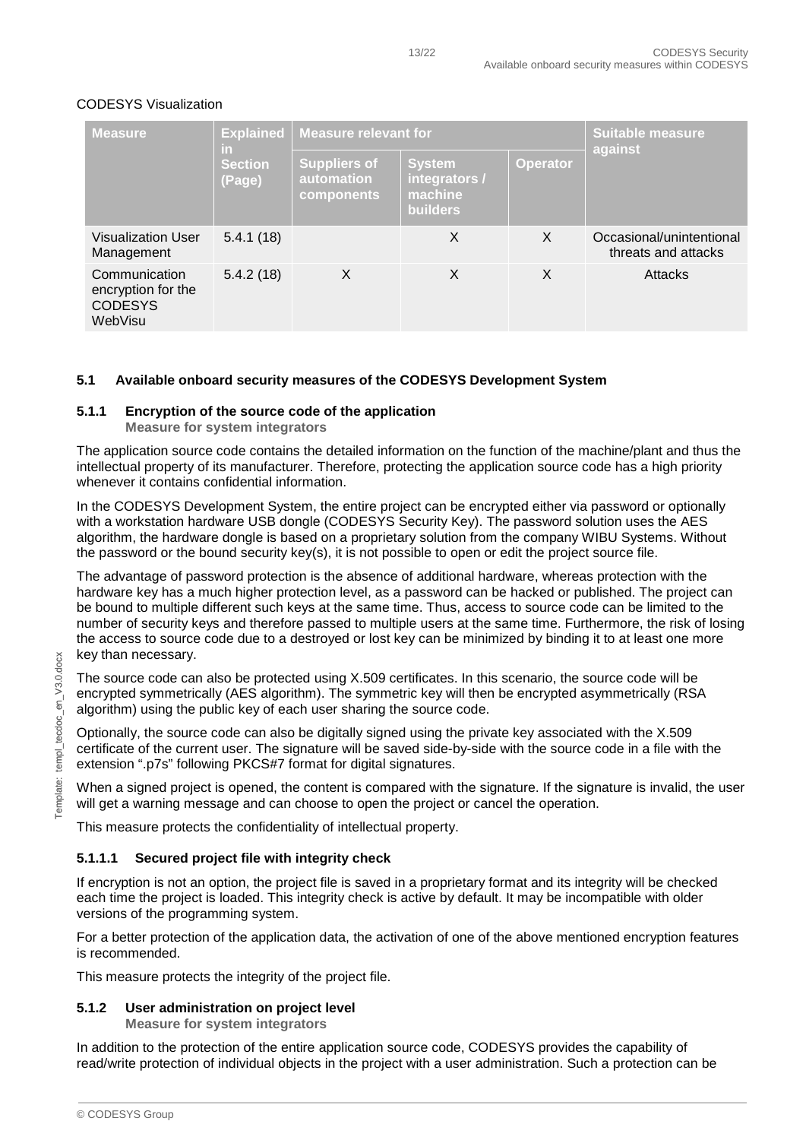| <b>Measure</b>                                                   | <b>Explained</b><br>in.<br><b>Section</b><br>(Page) | <b>Measure relevant for</b>                     | <b>Suitable measure</b>                                      |                 |                                                 |
|------------------------------------------------------------------|-----------------------------------------------------|-------------------------------------------------|--------------------------------------------------------------|-----------------|-------------------------------------------------|
|                                                                  |                                                     | <b>Suppliers of</b><br>automation<br>components | <b>System</b><br>integrators /<br>machine<br><b>builders</b> | <b>Operator</b> | against                                         |
| Visualization User<br>Management                                 | 5.4.1(18)                                           |                                                 | X                                                            | X               | Occasional/unintentional<br>threats and attacks |
| Communication<br>encryption for the<br><b>CODESYS</b><br>WebVisu | 5.4.2(18)                                           | X                                               | X                                                            | X               | <b>Attacks</b>                                  |

#### CODESYS Visualization

#### <span id="page-12-0"></span>**5.1 Available onboard security measures of the CODESYS Development System**

#### <span id="page-12-1"></span>**5.1.1 Encryption of the source code of the application**

**Measure for system integrators**

The application source code contains the detailed information on the function of the machine/plant and thus the intellectual property of its manufacturer. Therefore, protecting the application source code has a high priority whenever it contains confidential information.

In the CODESYS Development System, the entire project can be encrypted either via password or optionally with a workstation hardware USB dongle (CODESYS Security Key). The password solution uses the AES algorithm, the hardware dongle is based on a proprietary solution from the company WIBU Systems. Without the password or the bound security key(s), it is not possible to open or edit the project source file.

The advantage of password protection is the absence of additional hardware, whereas protection with the hardware key has a much higher protection level, as a password can be hacked or published. The project can be bound to multiple different such keys at the same time. Thus, access to source code can be limited to the number of security keys and therefore passed to multiple users at the same time. Furthermore, the risk of losing the access to source code due to a destroyed or lost key can be minimized by binding it to at least one more key than necessary.

The source code can also be protected using X.509 certificates. In this scenario, the source code will be encrypted symmetrically (AES algorithm). The symmetric key will then be encrypted asymmetrically (RSA algorithm) using the public key of each user sharing the source code.

Optionally, the source code can also be digitally signed using the private key associated with the X.509 certificate of the current user. The signature will be saved side-by-side with the source code in a file with the extension ".p7s" following PKCS#7 format for digital signatures.

When a signed project is opened, the content is compared with the signature. If the signature is invalid, the user will get a warning message and can choose to open the project or cancel the operation.

This measure protects the confidentiality of intellectual property.

#### <span id="page-12-2"></span>**5.1.1.1 Secured project file with integrity check**

If encryption is not an option, the project file is saved in a proprietary format and its integrity will be checked each time the project is loaded. This integrity check is active by default. It may be incompatible with older versions of the programming system.

For a better protection of the application data, the activation of one of the above mentioned encryption features is recommended.

This measure protects the integrity of the project file.

#### <span id="page-12-3"></span>**5.1.2 User administration on project level**

**Measure for system integrators**

In addition to the protection of the entire application source code, CODESYS provides the capability of read/write protection of individual objects in the project with a user administration. Such a protection can be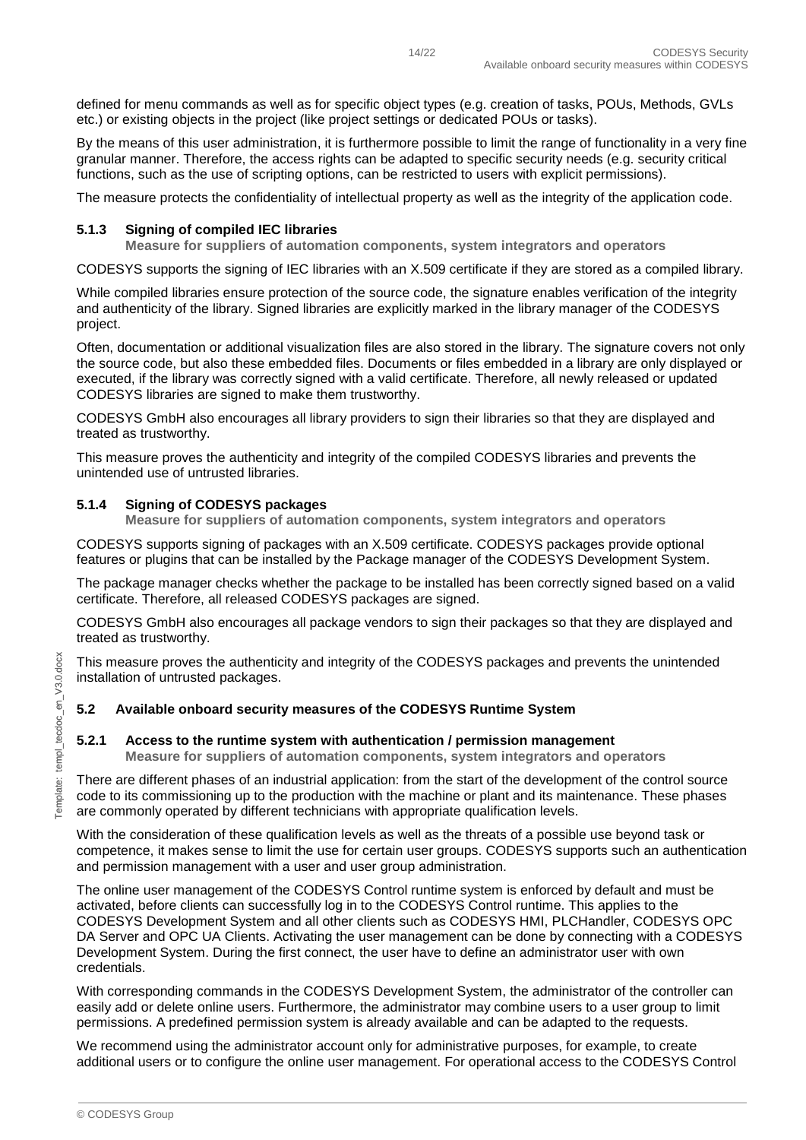defined for menu commands as well as for specific object types (e.g. creation of tasks, POUs, Methods, GVLs etc.) or existing objects in the project (like project settings or dedicated POUs or tasks).

By the means of this user administration, it is furthermore possible to limit the range of functionality in a very fine granular manner. Therefore, the access rights can be adapted to specific security needs (e.g. security critical functions, such as the use of scripting options, can be restricted to users with explicit permissions).

The measure protects the confidentiality of intellectual property as well as the integrity of the application code.

#### <span id="page-13-0"></span>**5.1.3 Signing of compiled IEC libraries**

**Measure for suppliers of automation components, system integrators and operators**

CODESYS supports the signing of IEC libraries with an X.509 certificate if they are stored as a compiled library.

While compiled libraries ensure protection of the source code, the signature enables verification of the integrity and authenticity of the library. Signed libraries are explicitly marked in the library manager of the CODESYS project.

Often, documentation or additional visualization files are also stored in the library. The signature covers not only the source code, but also these embedded files. Documents or files embedded in a library are only displayed or executed, if the library was correctly signed with a valid certificate. Therefore, all newly released or updated CODESYS libraries are signed to make them trustworthy.

CODESYS GmbH also encourages all library providers to sign their libraries so that they are displayed and treated as trustworthy.

This measure proves the authenticity and integrity of the compiled CODESYS libraries and prevents the unintended use of untrusted libraries.

#### <span id="page-13-1"></span>**5.1.4 Signing of CODESYS packages**

**Measure for suppliers of automation components, system integrators and operators**

CODESYS supports signing of packages with an X.509 certificate. CODESYS packages provide optional features or plugins that can be installed by the Package manager of the CODESYS Development System.

The package manager checks whether the package to be installed has been correctly signed based on a valid certificate. Therefore, all released CODESYS packages are signed.

CODESYS GmbH also encourages all package vendors to sign their packages so that they are displayed and treated as trustworthy.

This measure proves the authenticity and integrity of the CODESYS packages and prevents the unintended installation of untrusted packages.

#### <span id="page-13-2"></span>**5.2 Available onboard security measures of the CODESYS Runtime System**

#### <span id="page-13-3"></span>**5.2.1 Access to the runtime system with authentication / permission management**

**Measure for suppliers of automation components, system integrators and operators**

There are different phases of an industrial application: from the start of the development of the control source code to its commissioning up to the production with the machine or plant and its maintenance. These phases are commonly operated by different technicians with appropriate qualification levels.

With the consideration of these qualification levels as well as the threats of a possible use beyond task or competence, it makes sense to limit the use for certain user groups. CODESYS supports such an authentication and permission management with a user and user group administration.

The online user management of the CODESYS Control runtime system is enforced by default and must be activated, before clients can successfully log in to the CODESYS Control runtime. This applies to the CODESYS Development System and all other clients such as CODESYS HMI, PLCHandler, CODESYS OPC DA Server and OPC UA Clients. Activating the user management can be done by connecting with a CODESYS Development System. During the first connect, the user have to define an administrator user with own credentials.

With corresponding commands in the CODESYS Development System, the administrator of the controller can easily add or delete online users. Furthermore, the administrator may combine users to a user group to limit permissions. A predefined permission system is already available and can be adapted to the requests.

We recommend using the administrator account only for administrative purposes, for example, to create additional users or to configure the online user management. For operational access to the CODESYS Control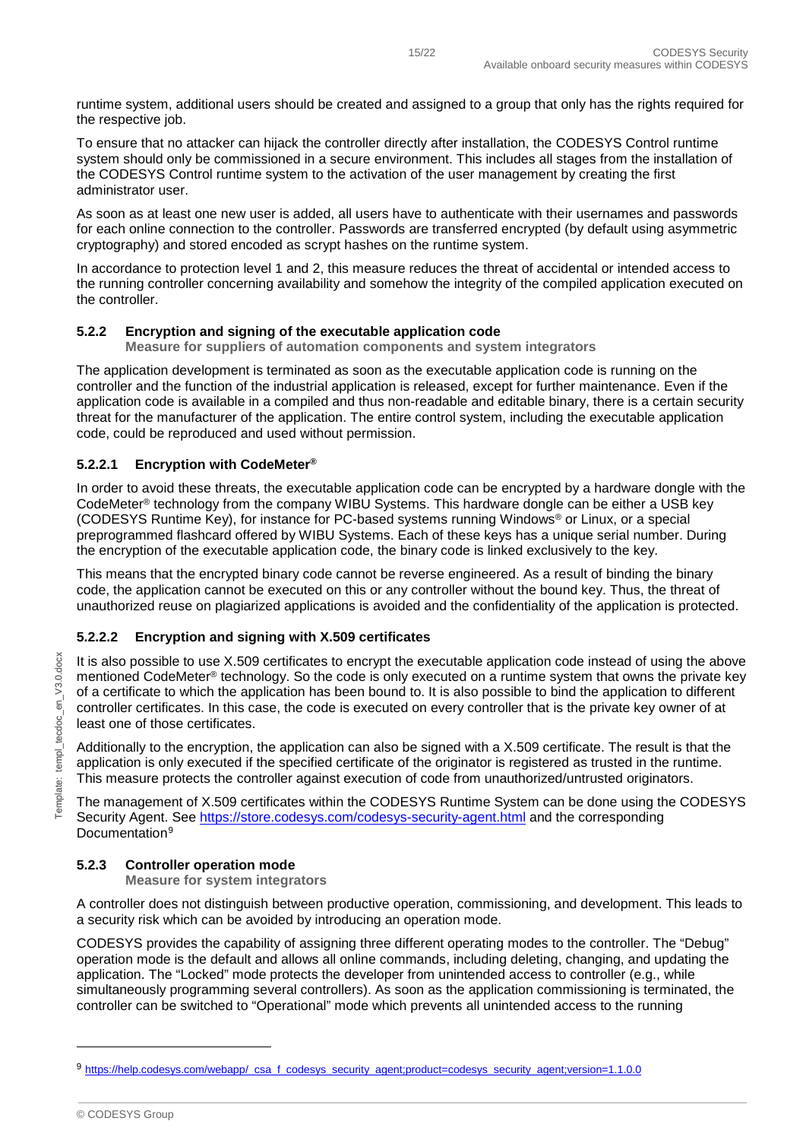runtime system, additional users should be created and assigned to a group that only has the rights required for the respective job.

To ensure that no attacker can hijack the controller directly after installation, the CODESYS Control runtime system should only be commissioned in a secure environment. This includes all stages from the installation of the CODESYS Control runtime system to the activation of the user management by creating the first administrator user.

As soon as at least one new user is added, all users have to authenticate with their usernames and passwords for each online connection to the controller. Passwords are transferred encrypted (by default using asymmetric cryptography) and stored encoded as scrypt hashes on the runtime system.

In accordance to protection level 1 and 2, this measure reduces the threat of accidental or intended access to the running controller concerning availability and somehow the integrity of the compiled application executed on the controller.

#### <span id="page-14-0"></span>**5.2.2 Encryption and signing of the executable application code**

**Measure for suppliers of automation components and system integrators**

The application development is terminated as soon as the executable application code is running on the controller and the function of the industrial application is released, except for further maintenance. Even if the application code is available in a compiled and thus non-readable and editable binary, there is a certain security threat for the manufacturer of the application. The entire control system, including the executable application code, could be reproduced and used without permission.

#### <span id="page-14-1"></span>**5.2.2.1 Encryption with CodeMeter®**

In order to avoid these threats, the executable application code can be encrypted by a hardware dongle with the CodeMeter® technology from the company WIBU Systems. This hardware dongle can be either a USB key (CODESYS Runtime Key), for instance for PC-based systems running Windows® or Linux, or a special preprogrammed flashcard offered by WIBU Systems. Each of these keys has a unique serial number. During the encryption of the executable application code, the binary code is linked exclusively to the key.

This means that the encrypted binary code cannot be reverse engineered. As a result of binding the binary code, the application cannot be executed on this or any controller without the bound key. Thus, the threat of unauthorized reuse on plagiarized applications is avoided and the confidentiality of the application is protected.

#### <span id="page-14-2"></span>**5.2.2.2 Encryption and signing with X.509 certificates**

It is also possible to use X.509 certificates to encrypt the executable application code instead of using the above mentioned CodeMeter® technology. So the code is only executed on a runtime system that owns the private key of a certificate to which the application has been bound to. It is also possible to bind the application to different controller certificates. In this case, the code is executed on every controller that is the private key owner of at least one of those certificates.

Additionally to the encryption, the application can also be signed with a X.509 certificate. The result is that the application is only executed if the specified certificate of the originator is registered as trusted in the runtime. This measure protects the controller against execution of code from unauthorized/untrusted originators.

The management of X.509 certificates within the CODESYS Runtime System can be done using the CODESYS Security Agent. See<https://store.codesys.com/codesys-security-agent.html> and the corresponding Documentation<sup>[9](#page-14-4)</sup>

#### <span id="page-14-3"></span>**5.2.3 Controller operation mode**

#### **Measure for system integrators**

A controller does not distinguish between productive operation, commissioning, and development. This leads to a security risk which can be avoided by introducing an operation mode.

CODESYS provides the capability of assigning three different operating modes to the controller. The "Debug" operation mode is the default and allows all online commands, including deleting, changing, and updating the application. The "Locked" mode protects the developer from unintended access to controller (e.g., while simultaneously programming several controllers). As soon as the application commissioning is terminated, the controller can be switched to "Operational" mode which prevents all unintended access to the running

-

<span id="page-14-4"></span><sup>9</sup> [https://help.codesys.com/webapp/\\_csa\\_f\\_codesys\\_security\\_agent;product=codesys\\_security\\_agent;version=1.1.0.0](https://help.codesys.com/webapp/_csa_f_codesys_security_agent;product=codesys_security_agent;version=1.1.0.0)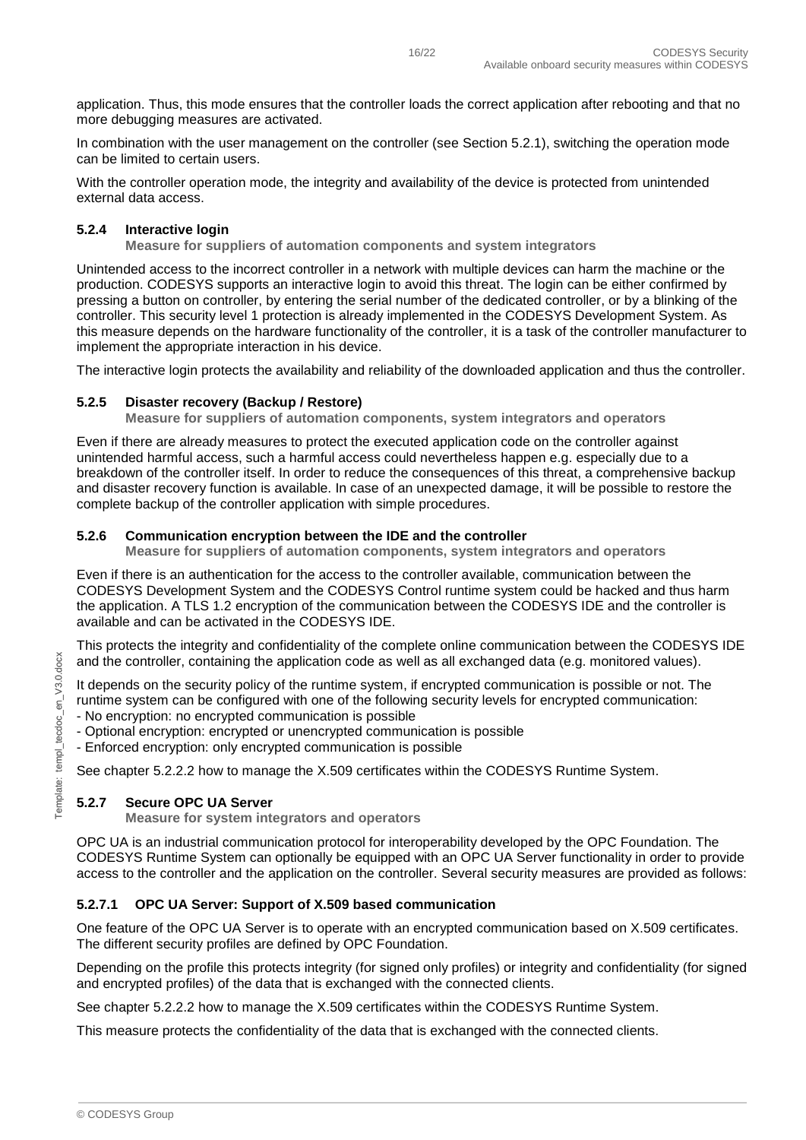application. Thus, this mode ensures that the controller loads the correct application after rebooting and that no more debugging measures are activated.

In combination with the user management on the controller (see Section [5.2.1\)](#page-13-3), switching the operation mode can be limited to certain users.

With the controller operation mode, the integrity and availability of the device is protected from unintended external data access.

#### <span id="page-15-0"></span>**5.2.4 Interactive login**

**Measure for suppliers of automation components and system integrators**

Unintended access to the incorrect controller in a network with multiple devices can harm the machine or the production. CODESYS supports an interactive login to avoid this threat. The login can be either confirmed by pressing a button on controller, by entering the serial number of the dedicated controller, or by a blinking of the controller. This security level 1 protection is already implemented in the CODESYS Development System. As this measure depends on the hardware functionality of the controller, it is a task of the controller manufacturer to implement the appropriate interaction in his device.

The interactive login protects the availability and reliability of the downloaded application and thus the controller.

#### <span id="page-15-1"></span>**5.2.5 Disaster recovery (Backup / Restore)**

**Measure for suppliers of automation components, system integrators and operators**

Even if there are already measures to protect the executed application code on the controller against unintended harmful access, such a harmful access could nevertheless happen e.g. especially due to a breakdown of the controller itself. In order to reduce the consequences of this threat, a comprehensive backup and disaster recovery function is available. In case of an unexpected damage, it will be possible to restore the complete backup of the controller application with simple procedures.

#### <span id="page-15-2"></span>**5.2.6 Communication encryption between the IDE and the controller**

**Measure for suppliers of automation components, system integrators and operators**

Even if there is an authentication for the access to the controller available, communication between the CODESYS Development System and the CODESYS Control runtime system could be hacked and thus harm the application. A TLS 1.2 encryption of the communication between the CODESYS IDE and the controller is available and can be activated in the CODESYS IDE.

This protects the integrity and confidentiality of the complete online communication between the CODESYS IDE and the controller, containing the application code as well as all exchanged data (e.g. monitored values).

It depends on the security policy of the runtime system, if encrypted communication is possible or not. The runtime system can be configured with one of the following security levels for encrypted communication:

- No encryption: no encrypted communication is possible
- Optional encryption: encrypted or unencrypted communication is possible
- Enforced encryption: only encrypted communication is possible

See chapter [5.2.2.2](#page-14-2) how to manage the X.509 certificates within the CODESYS Runtime System.

#### <span id="page-15-3"></span>**5.2.7 Secure OPC UA Server**

**Measure for system integrators and operators**

OPC UA is an industrial communication protocol for interoperability developed by the OPC Foundation. The CODESYS Runtime System can optionally be equipped with an OPC UA Server functionality in order to provide access to the controller and the application on the controller. Several security measures are provided as follows:

#### <span id="page-15-4"></span>**5.2.7.1 OPC UA Server: Support of X.509 based communication**

One feature of the OPC UA Server is to operate with an encrypted communication based on X.509 certificates. The different security profiles are defined by OPC Foundation.

Depending on the profile this protects integrity (for signed only profiles) or integrity and confidentiality (for signed and encrypted profiles) of the data that is exchanged with the connected clients.

See chapter [5.2.2.2](#page-14-2) how to manage the X.509 certificates within the CODESYS Runtime System.

This measure protects the confidentiality of the data that is exchanged with the connected clients.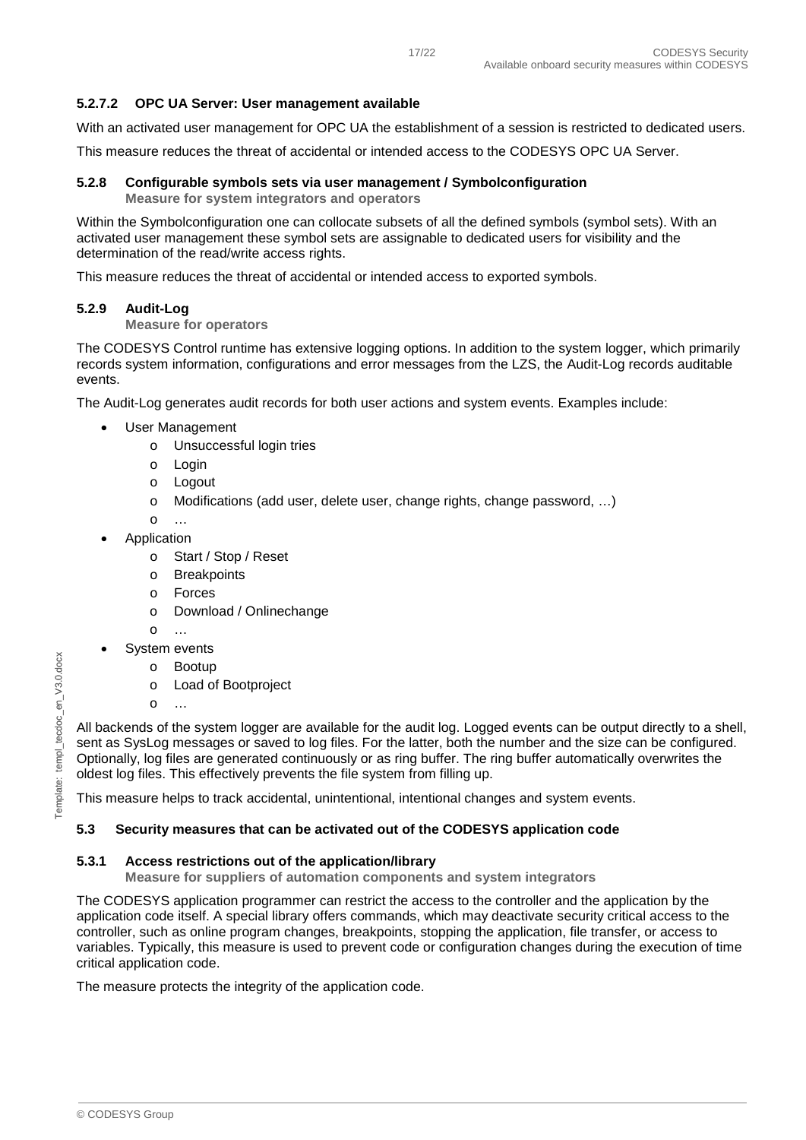#### <span id="page-16-0"></span>**5.2.7.2 OPC UA Server: User management available**

With an activated user management for OPC UA the establishment of a session is restricted to dedicated users.

This measure reduces the threat of accidental or intended access to the CODESYS OPC UA Server.

### <span id="page-16-1"></span>**5.2.8 Configurable symbols sets via user management / Symbolconfiguration**

**Measure for system integrators and operators**

Within the Symbolconfiguration one can collocate subsets of all the defined symbols (symbol sets). With an activated user management these symbol sets are assignable to dedicated users for visibility and the determination of the read/write access rights.

This measure reduces the threat of accidental or intended access to exported symbols.

#### <span id="page-16-2"></span>**5.2.9 Audit-Log**

#### **Measure for operators**

The CODESYS Control runtime has extensive logging options. In addition to the system logger, which primarily records system information, configurations and error messages from the LZS, the Audit-Log records auditable events.

The Audit-Log generates audit records for both user actions and system events. Examples include:

- User Management
	- o Unsuccessful login tries
	- o Login
	- o Logout
	- o Modifications (add user, delete user, change rights, change password, …)
	- o …
	- **Application** 
		- o Start / Stop / Reset
		- o Breakpoints
		- o Forces
		- o Download / Onlinechange
		- o …
- System events
	- o Bootup
	- o Load of Bootproject
	- o …

All backends of the system logger are available for the audit log. Logged events can be output directly to a shell, sent as SysLog messages or saved to log files. For the latter, both the number and the size can be configured. Optionally, log files are generated continuously or as ring buffer. The ring buffer automatically overwrites the oldest log files. This effectively prevents the file system from filling up.

This measure helps to track accidental, unintentional, intentional changes and system events.

#### <span id="page-16-3"></span>**5.3 Security measures that can be activated out of the CODESYS application code**

#### <span id="page-16-4"></span>**5.3.1 Access restrictions out of the application/library**

**Measure for suppliers of automation components and system integrators**

The CODESYS application programmer can restrict the access to the controller and the application by the application code itself. A special library offers commands, which may deactivate security critical access to the controller, such as online program changes, breakpoints, stopping the application, file transfer, or access to variables. Typically, this measure is used to prevent code or configuration changes during the execution of time critical application code.

The measure protects the integrity of the application code.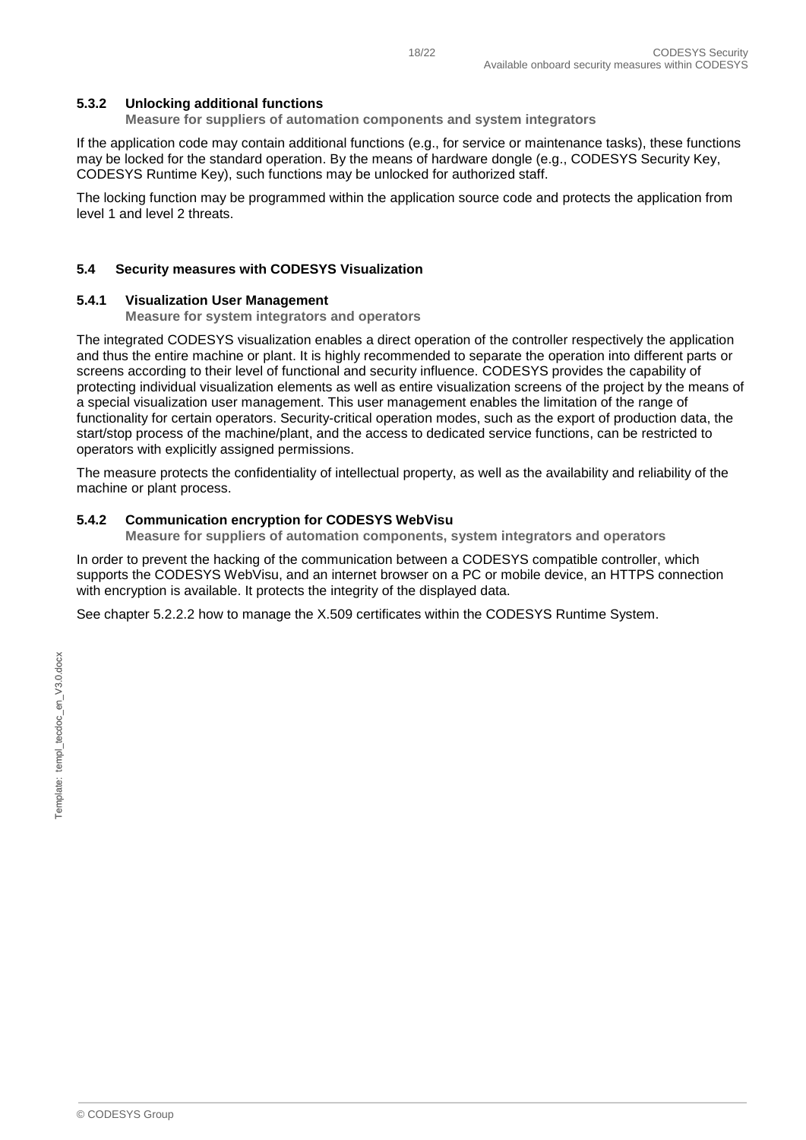#### <span id="page-17-0"></span>**5.3.2 Unlocking additional functions**

**Measure for suppliers of automation components and system integrators**

If the application code may contain additional functions (e.g., for service or maintenance tasks), these functions may be locked for the standard operation. By the means of hardware dongle (e.g., CODESYS Security Key, CODESYS Runtime Key), such functions may be unlocked for authorized staff.

The locking function may be programmed within the application source code and protects the application from level 1 and level 2 threats.

#### <span id="page-17-1"></span>**5.4 Security measures with CODESYS Visualization**

#### <span id="page-17-2"></span>**5.4.1 Visualization User Management**

**Measure for system integrators and operators**

The integrated CODESYS visualization enables a direct operation of the controller respectively the application and thus the entire machine or plant. It is highly recommended to separate the operation into different parts or screens according to their level of functional and security influence. CODESYS provides the capability of protecting individual visualization elements as well as entire visualization screens of the project by the means of a special visualization user management. This user management enables the limitation of the range of functionality for certain operators. Security-critical operation modes, such as the export of production data, the start/stop process of the machine/plant, and the access to dedicated service functions, can be restricted to operators with explicitly assigned permissions.

The measure protects the confidentiality of intellectual property, as well as the availability and reliability of the machine or plant process.

#### <span id="page-17-3"></span>**5.4.2 Communication encryption for CODESYS WebVisu**

**Measure for suppliers of automation components, system integrators and operators**

In order to prevent the hacking of the communication between a CODESYS compatible controller, which supports the CODESYS WebVisu, and an internet browser on a PC or mobile device, an HTTPS connection with encryption is available. It protects the integrity of the displayed data.

See chapter [5.2.2.2](#page-14-2) how to manage the X.509 certificates within the CODESYS Runtime System.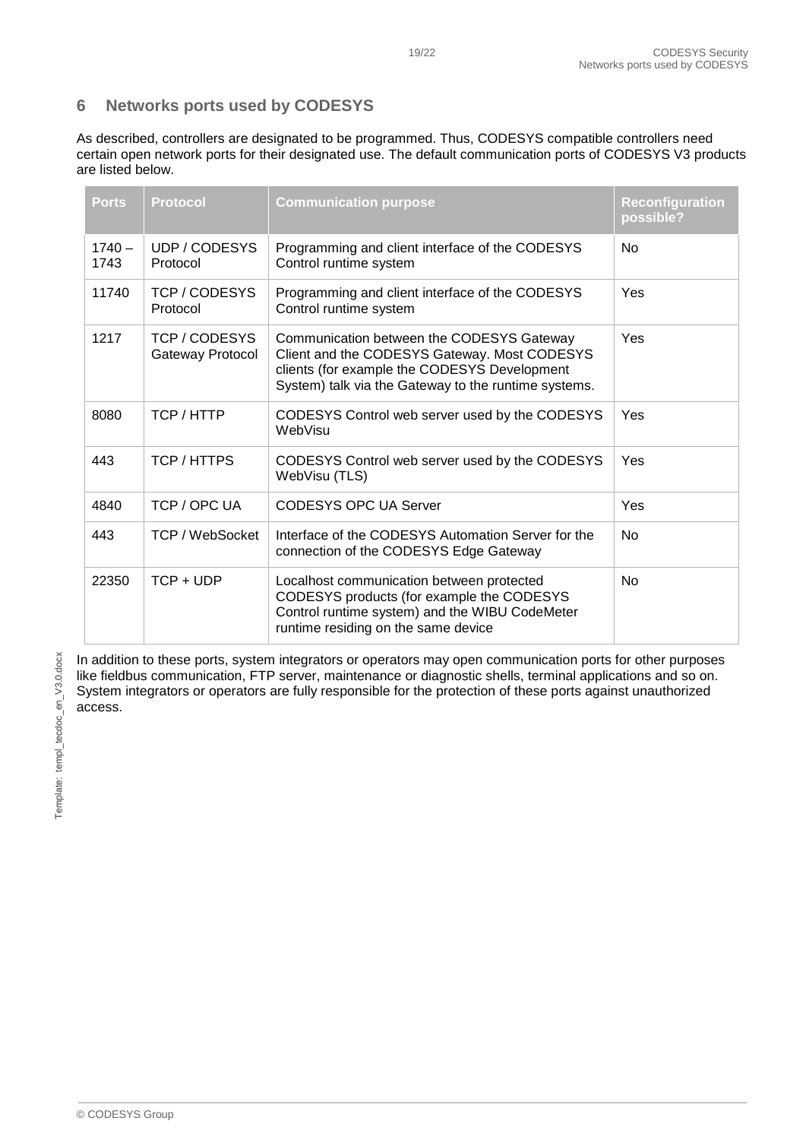#### <span id="page-18-0"></span>**6 Networks ports used by CODESYS**

As described, controllers are designated to be programmed. Thus, CODESYS compatible controllers need certain open network ports for their designated use. The default communication ports of CODESYS V3 products are listed below.

| <b>Ports</b>     | <b>Protocol</b>                 | <b>Communication purpose</b>                                                                                                                                                                      | <b>Reconfiguration</b><br>possible? |
|------------------|---------------------------------|---------------------------------------------------------------------------------------------------------------------------------------------------------------------------------------------------|-------------------------------------|
| $1740 -$<br>1743 | UDP / CODESYS<br>Protocol       | Programming and client interface of the CODESYS<br>Control runtime system                                                                                                                         | <b>No</b>                           |
| 11740            | TCP / CODESYS<br>Protocol       | Programming and client interface of the CODESYS<br>Control runtime system                                                                                                                         | Yes                                 |
| 1217             | TCP/CODESYS<br>Gateway Protocol | Communication between the CODESYS Gateway<br>Client and the CODESYS Gateway. Most CODESYS<br>clients (for example the CODESYS Development<br>System) talk via the Gateway to the runtime systems. | Yes                                 |
| 8080             | TCP / HTTP                      | CODESYS Control web server used by the CODESYS<br>WebVisu                                                                                                                                         | Yes                                 |
| 443              | TCP/HTTPS                       | CODESYS Control web server used by the CODESYS<br>WebVisu (TLS)                                                                                                                                   | Yes                                 |
| 4840             | TCP / OPC UA                    | <b>CODESYS OPC UA Server</b>                                                                                                                                                                      | Yes                                 |
| 443              | TCP / WebSocket                 | Interface of the CODESYS Automation Server for the<br>connection of the CODESYS Edge Gateway                                                                                                      | <b>No</b>                           |
| 22350            | $TCP + UDP$                     | Localhost communication between protected<br>CODESYS products (for example the CODESYS<br>Control runtime system) and the WIBU CodeMeter<br>runtime residing on the same device                   | <b>No</b>                           |

In addition to these ports, system integrators or operators may open communication ports for other purposes like fieldbus communication, FTP server, maintenance or diagnostic shells, terminal applications and so on. System integrators or operators are fully responsible for the protection of these ports against unauthorized access.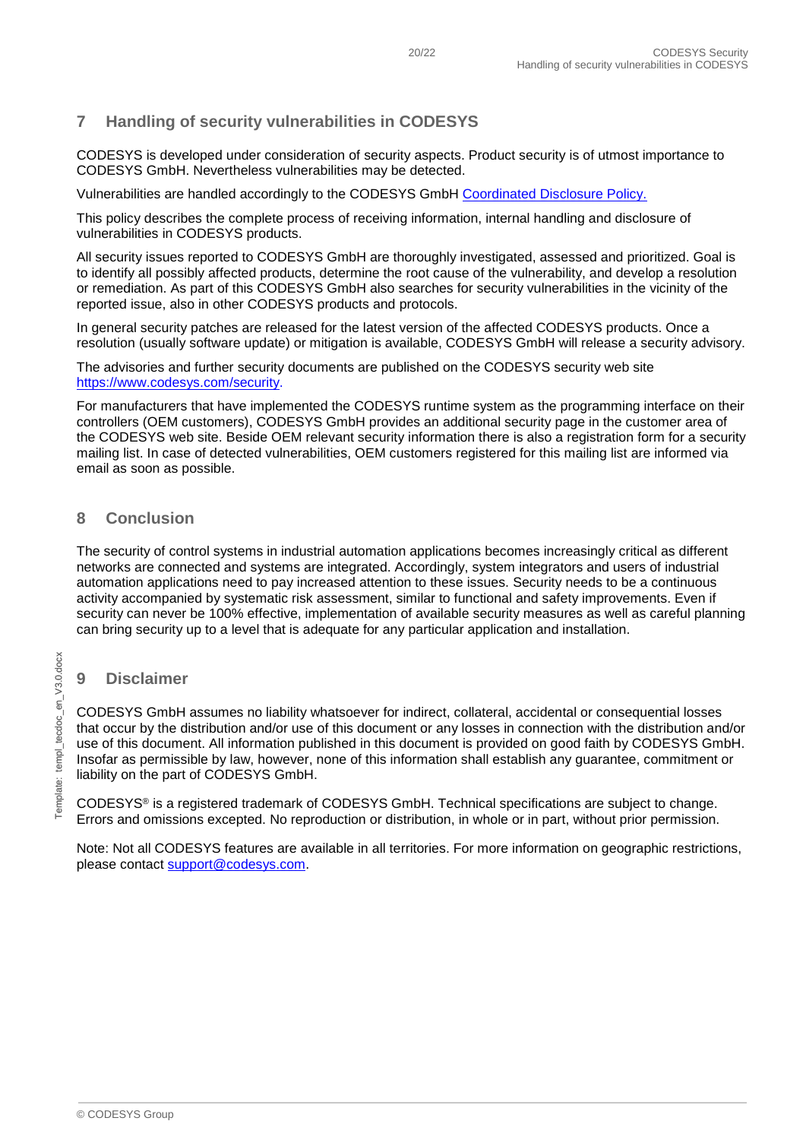# <span id="page-19-0"></span>**7 Handling of security vulnerabilities in CODESYS**

CODESYS is developed under consideration of security aspects. Product security is of utmost importance to CODESYS GmbH. Nevertheless vulnerabilities may be detected.

Vulnerabilities are handled accordingly to the CODESYS GmbH [Coordinated Disclosure Policy.](https://customers.codesys.com/fileadmin/data/customers/security/Coordinated-Disclosure-Policy.pdf)

This policy describes the complete process of receiving information, internal handling and disclosure of vulnerabilities in CODESYS products.

All security issues reported to CODESYS GmbH are thoroughly investigated, assessed and prioritized. Goal is to identify all possibly affected products, determine the root cause of the vulnerability, and develop a resolution or remediation. As part of this CODESYS GmbH also searches for security vulnerabilities in the vicinity of the reported issue, also in other CODESYS products and protocols.

In general security patches are released for the latest version of the affected CODESYS products. Once a resolution (usually software update) or mitigation is available, CODESYS GmbH will release a security advisory.

The advisories and further security documents are published on the CODESYS security web site [https://www.codesys.com/security.](https://www.codesys.com/security)

For manufacturers that have implemented the CODESYS runtime system as the programming interface on their controllers (OEM customers), CODESYS GmbH provides an additional security page in the customer area of the CODESYS web site. Beside OEM relevant security information there is also a registration form for a security mailing list. In case of detected vulnerabilities, OEM customers registered for this mailing list are informed via email as soon as possible.

#### <span id="page-19-1"></span>**8 Conclusion**

The security of control systems in industrial automation applications becomes increasingly critical as different networks are connected and systems are integrated. Accordingly, system integrators and users of industrial automation applications need to pay increased attention to these issues. Security needs to be a continuous activity accompanied by systematic risk assessment, similar to functional and safety improvements. Even if security can never be 100% effective, implementation of available security measures as well as careful planning can bring security up to a level that is adequate for any particular application and installation.

# <span id="page-19-2"></span>Template: templ\_tecdoc\_en\_V3.0.docx Template: templ\_tecdoc\_en\_V3.0.docx

# **9 Disclaimer**

CODESYS GmbH assumes no liability whatsoever for indirect, collateral, accidental or consequential losses that occur by the distribution and/or use of this document or any losses in connection with the distribution and/or use of this document. All information published in this document is provided on good faith by CODESYS GmbH. Insofar as permissible by law, however, none of this information shall establish any guarantee, commitment or liability on the part of CODESYS GmbH.

CODESYS® is a registered trademark of CODESYS GmbH. Technical specifications are subject to change. Errors and omissions excepted. No reproduction or distribution, in whole or in part, without prior permission.

Note: Not all CODESYS features are available in all territories. For more information on geographic restrictions, please contact [support@codesys.com.](mailto:support@codesys.com)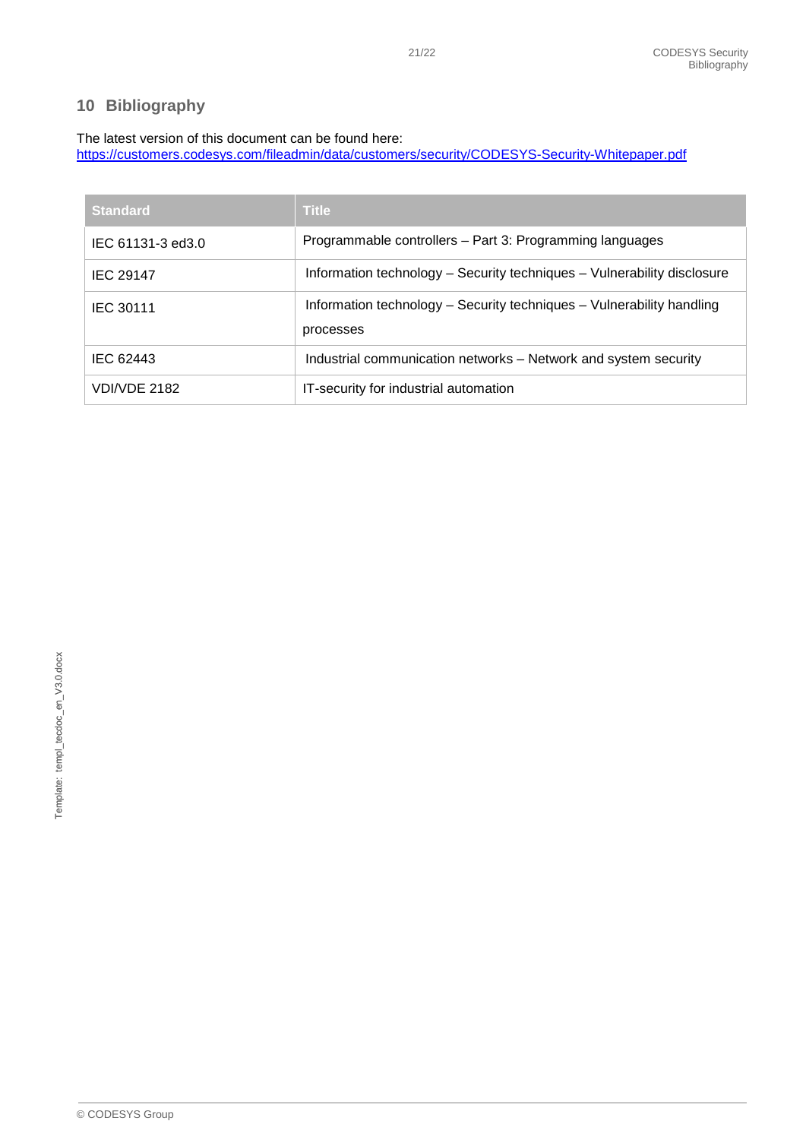# <span id="page-20-0"></span>**10 Bibliography**

## The latest version of this document can be found here:

<https://customers.codesys.com/fileadmin/data/customers/security/CODESYS-Security-Whitepaper.pdf>

| <b>Standard</b>   | <b>Title</b>                                                                       |
|-------------------|------------------------------------------------------------------------------------|
| IEC 61131-3 ed3.0 | Programmable controllers – Part 3: Programming languages                           |
| <b>IEC 29147</b>  | Information technology – Security techniques – Vulnerability disclosure            |
| <b>IEC 30111</b>  | Information technology – Security techniques – Vulnerability handling<br>processes |
| IEC 62443         | Industrial communication networks – Network and system security                    |
| VDI/VDE 2182      | IT-security for industrial automation                                              |